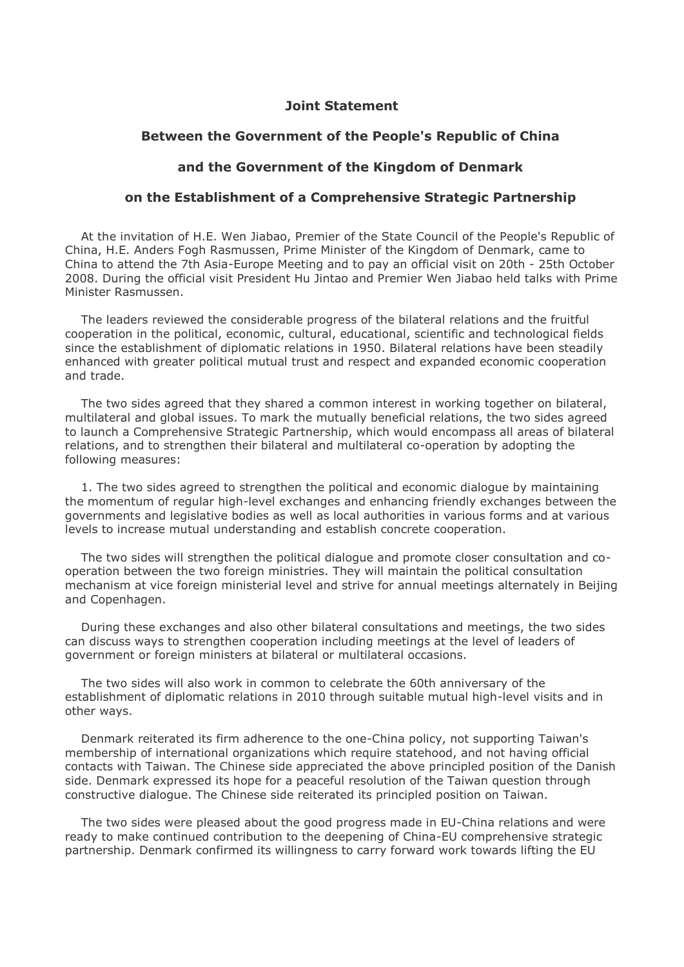## **Joint Statement**

## **Between the Government of the People's Republic of China**

## **and the Government of the Kingdom of Denmark**

## **on the Establishment of a Comprehensive Strategic Partnership**

At the invitation of H.E. Wen Jiabao, Premier of the State Council of the People's Republic of China, H.E. Anders Fogh Rasmussen, Prime Minister of the Kingdom of Denmark, came to China to attend the 7th Asia-Europe Meeting and to pay an official visit on 20th - 25th October 2008. During the official visit President Hu Jintao and Premier Wen Jiabao held talks with Prime Minister Rasmussen.

The leaders reviewed the considerable progress of the bilateral relations and the fruitful cooperation in the political, economic, cultural, educational, scientific and technological fields since the establishment of diplomatic relations in 1950. Bilateral relations have been steadily enhanced with greater political mutual trust and respect and expanded economic cooperation and trade.

The two sides agreed that they shared a common interest in working together on bilateral, multilateral and global issues. To mark the mutually beneficial relations, the two sides agreed to launch a Comprehensive Strategic Partnership, which would encompass all areas of bilateral relations, and to strengthen their bilateral and multilateral co-operation by adopting the following measures:

1. The two sides agreed to strengthen the political and economic dialogue by maintaining the momentum of regular high-level exchanges and enhancing friendly exchanges between the governments and legislative bodies as well as local authorities in various forms and at various levels to increase mutual understanding and establish concrete cooperation.

The two sides will strengthen the political dialogue and promote closer consultation and cooperation between the two foreign ministries. They will maintain the political consultation mechanism at vice foreign ministerial level and strive for annual meetings alternately in Beijing and Copenhagen.

During these exchanges and also other bilateral consultations and meetings, the two sides can discuss ways to strengthen cooperation including meetings at the level of leaders of government or foreign ministers at bilateral or multilateral occasions.

The two sides will also work in common to celebrate the 60th anniversary of the establishment of diplomatic relations in 2010 through suitable mutual high-level visits and in other ways.

Denmark reiterated its firm adherence to the one-China policy, not supporting Taiwan's membership of international organizations which require statehood, and not having official contacts with Taiwan. The Chinese side appreciated the above principled position of the Danish side. Denmark expressed its hope for a peaceful resolution of the Taiwan question through constructive dialogue. The Chinese side reiterated its principled position on Taiwan.

The two sides were pleased about the good progress made in EU-China relations and were ready to make continued contribution to the deepening of China-EU comprehensive strategic partnership. Denmark confirmed its willingness to carry forward work towards lifting the EU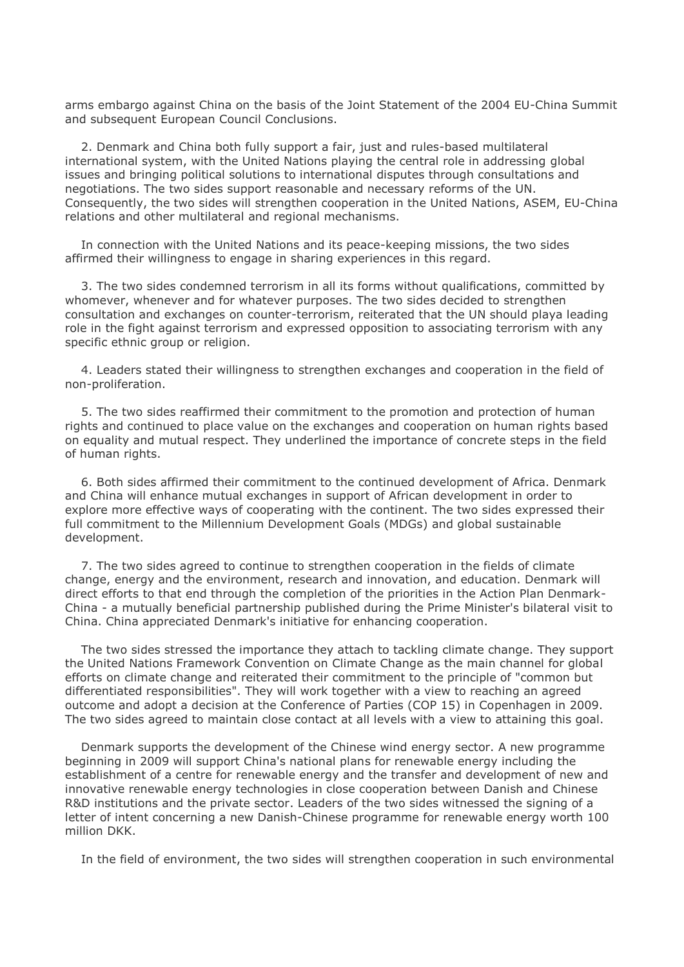arms embargo against China on the basis of the Joint Statement of the 2004 EU-China Summit and subsequent European Council Conclusions.

2. Denmark and China both fully support a fair, just and rules-based multilateral international system, with the United Nations playing the central role in addressing global issues and bringing political solutions to international disputes through consultations and negotiations. The two sides support reasonable and necessary reforms of the UN. Consequently, the two sides will strengthen cooperation in the United Nations, ASEM, EU-China relations and other multilateral and regional mechanisms.

In connection with the United Nations and its peace-keeping missions, the two sides affirmed their willingness to engage in sharing experiences in this regard.

3. The two sides condemned terrorism in all its forms without qualifications, committed by whomever, whenever and for whatever purposes. The two sides decided to strengthen consultation and exchanges on counter-terrorism, reiterated that the UN should playa leading role in the fight against terrorism and expressed opposition to associating terrorism with any specific ethnic group or religion.

4. Leaders stated their willingness to strengthen exchanges and cooperation in the field of non-proliferation.

5. The two sides reaffirmed their commitment to the promotion and protection of human rights and continued to place value on the exchanges and cooperation on human rights based on equality and mutual respect. They underlined the importance of concrete steps in the field of human rights.

6. Both sides affirmed their commitment to the continued development of Africa. Denmark and China will enhance mutual exchanges in support of African development in order to explore more effective ways of cooperating with the continent. The two sides expressed their full commitment to the Millennium Development Goals (MDGs) and global sustainable development.

7. The two sides agreed to continue to strengthen cooperation in the fields of climate change, energy and the environment, research and innovation, and education. Denmark will direct efforts to that end through the completion of the priorities in the Action Plan Denmark-China - a mutually beneficial partnership published during the Prime Minister's bilateral visit to China. China appreciated Denmark's initiative for enhancing cooperation.

The two sides stressed the importance they attach to tackling climate change. They support the United Nations Framework Convention on Climate Change as the main channel for global efforts on climate change and reiterated their commitment to the principle of "common but differentiated responsibilities". They will work together with a view to reaching an agreed outcome and adopt a decision at the Conference of Parties (COP 15) in Copenhagen in 2009. The two sides agreed to maintain close contact at all levels with a view to attaining this goal.

Denmark supports the development of the Chinese wind energy sector. A new programme beginning in 2009 will support China's national plans for renewable energy including the establishment of a centre for renewable energy and the transfer and development of new and innovative renewable energy technologies in close cooperation between Danish and Chinese R&D institutions and the private sector. Leaders of the two sides witnessed the signing of a letter of intent concerning a new Danish-Chinese programme for renewable energy worth 100 million DKK.

In the field of environment, the two sides will strengthen cooperation in such environmental